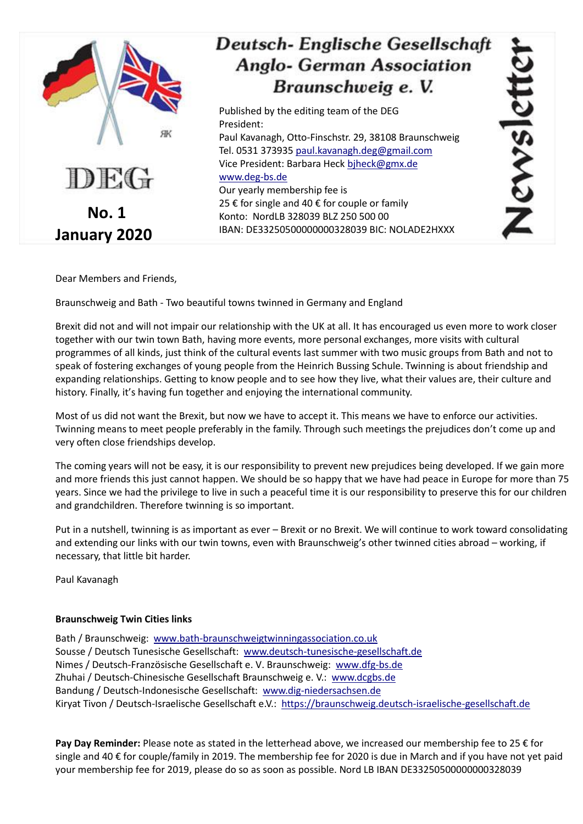

Dear Members and Friends,

Braunschweig and Bath - Two beautiful towns twinned in Germany and England

Brexit did not and will not impair our relationship with the UK at all. It has encouraged us even more to work closer together with our twin town Bath, having more events, more personal exchanges, more visits with cultural programmes of all kinds, just think of the cultural events last summer with two music groups from Bath and not to speak of fostering exchanges of young people from the Heinrich Bussing Schule. Twinning is about friendship and expanding relationships. Getting to know people and to see how they live, what their values are, their culture and history. Finally, it's having fun together and enjoying the international community.

Most of us did not want the Brexit, but now we have to accept it. This means we have to enforce our activities. Twinning means to meet people preferably in the family. Through such meetings the prejudices don't come up and very often close friendships develop.

The coming years will not be easy, it is our responsibility to prevent new prejudices being developed. If we gain more and more friends this just cannot happen. We should be so happy that we have had peace in Europe for more than 75 years. Since we had the privilege to live in such a peaceful time it is our responsibility to preserve this for our children and grandchildren. Therefore twinning is so important.

Put in a nutshell, twinning is as important as ever – Brexit or no Brexit. We will continue to work toward consolidating and extending our links with our twin towns, even with Braunschweig's other twinned cities abroad – working, if necessary, that little bit harder.

Paul Kavanagh

## **Braunschweig Twin Cities links**

Bath / Braunschweig: [www.bath-braunschweigtwinningassociation.co.uk](http://www.bath-braunschweigtwinningassociation.co.uk/) Sousse / Deutsch Tunesische Gesellschaft: [www.deutsch-tunesische-gesellschaft.de](http://www.deutsch-tunesische-gesellschaft.de/)  Nimes / Deutsch-Französische Gesellschaft e. V. Braunschweig: [www.dfg-bs.de](http://www.dfg-bs.de/) Zhuhai / Deutsch-Chinesische Gesellschaft Braunschweig e. V.: [www.dcgbs.de](http://www.dcgbs.de/) Bandung / Deutsch-Indonesische Gesellschaft: [www.dig-niedersachsen.de](http://www.dig-niedersachsen.de/) Kiryat Tivon / Deutsch-Israelische Gesellschaft e.V.: [https://braunschweig.deutsch-israelische-gesellschaft.de](https://braunschweig.deutsch-israelische-gesellschaft.de/)

**Pay Day Reminder:** Please note as stated in the letterhead above, we increased our membership fee to 25 € for single and 40 € for couple/family in 2019. The membership fee for 2020 is due in March and if you have not yet paid your membership fee for 2019, please do so as soon as possible. Nord LB IBAN DE33250500000000328039